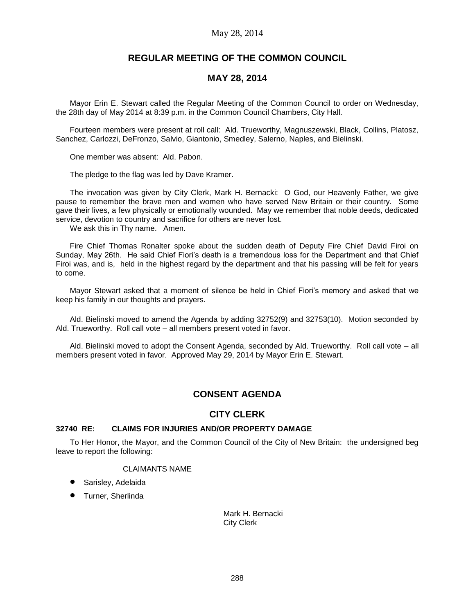# **REGULAR MEETING OF THE COMMON COUNCIL**

# **MAY 28, 2014**

Mayor Erin E. Stewart called the Regular Meeting of the Common Council to order on Wednesday, the 28th day of May 2014 at 8:39 p.m. in the Common Council Chambers, City Hall.

Fourteen members were present at roll call: Ald. Trueworthy, Magnuszewski, Black, Collins, Platosz, Sanchez, Carlozzi, DeFronzo, Salvio, Giantonio, Smedley, Salerno, Naples, and Bielinski.

One member was absent: Ald. Pabon.

The pledge to the flag was led by Dave Kramer.

The invocation was given by City Clerk, Mark H. Bernacki: O God, our Heavenly Father, we give pause to remember the brave men and women who have served New Britain or their country. Some gave their lives, a few physically or emotionally wounded. May we remember that noble deeds, dedicated service, devotion to country and sacrifice for others are never lost.

We ask this in Thy name. Amen.

Fire Chief Thomas Ronalter spoke about the sudden death of Deputy Fire Chief David Firoi on Sunday, May 26th. He said Chief Fiori's death is a tremendous loss for the Department and that Chief Firoi was, and is, held in the highest regard by the department and that his passing will be felt for years to come.

Mayor Stewart asked that a moment of silence be held in Chief Fiori's memory and asked that we keep his family in our thoughts and prayers.

Ald. Bielinski moved to amend the Agenda by adding 32752(9) and 32753(10). Motion seconded by Ald. Trueworthy. Roll call vote – all members present voted in favor.

Ald. Bielinski moved to adopt the Consent Agenda, seconded by Ald. Trueworthy. Roll call vote – all members present voted in favor. Approved May 29, 2014 by Mayor Erin E. Stewart.

# **CONSENT AGENDA**

# **CITY CLERK**

### **32740 RE: CLAIMS FOR INJURIES AND/OR PROPERTY DAMAGE**

To Her Honor, the Mayor, and the Common Council of the City of New Britain: the undersigned beg leave to report the following:

### CLAIMANTS NAME

- Sarisley, Adelaida
- Turner, Sherlinda

Mark H. Bernacki City Clerk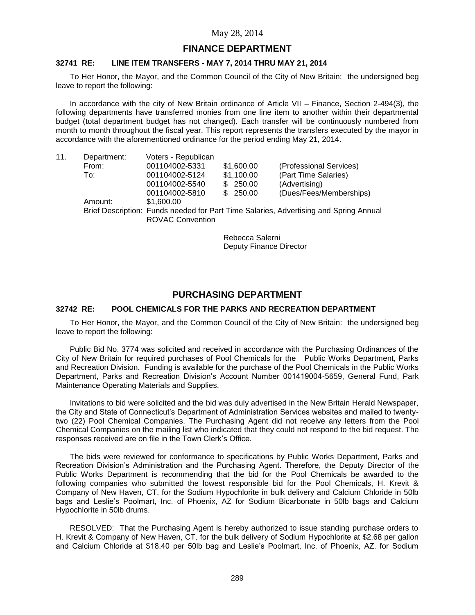### **FINANCE DEPARTMENT**

#### **32741 RE: LINE ITEM TRANSFERS - MAY 7, 2014 THRU MAY 21, 2014**

To Her Honor, the Mayor, and the Common Council of the City of New Britain: the undersigned beg leave to report the following:

In accordance with the city of New Britain ordinance of Article VII – Finance, Section 2-494(3), the following departments have transferred monies from one line item to another within their departmental budget (total department budget has not changed). Each transfer will be continuously numbered from month to month throughout the fiscal year. This report represents the transfers executed by the mayor in accordance with the aforementioned ordinance for the period ending May 21, 2014.

| 11. | Department: | Voters - Republican     |     |            |                                                                                       |
|-----|-------------|-------------------------|-----|------------|---------------------------------------------------------------------------------------|
|     | From:       | 001104002-5331          |     | \$1,600.00 | (Professional Services)                                                               |
|     | To:         | 001104002-5124          |     | \$1,100.00 | (Part Time Salaries)                                                                  |
|     |             | 001104002-5540          | \$. | 250.00     | (Advertising)                                                                         |
|     |             | 001104002-5810          |     | \$250.00   | (Dues/Fees/Memberships)                                                               |
|     | Amount:     | \$1,600.00              |     |            |                                                                                       |
|     |             |                         |     |            | Brief Description: Funds needed for Part Time Salaries, Advertising and Spring Annual |
|     |             | <b>ROVAC Convention</b> |     |            |                                                                                       |
|     |             |                         |     |            |                                                                                       |

Rebecca Salerni Deputy Finance Director

# **PURCHASING DEPARTMENT**

#### **32742 RE: POOL CHEMICALS FOR THE PARKS AND RECREATION DEPARTMENT**

To Her Honor, the Mayor, and the Common Council of the City of New Britain: the undersigned beg leave to report the following:

Public Bid No. 3774 was solicited and received in accordance with the Purchasing Ordinances of the City of New Britain for required purchases of Pool Chemicals for the Public Works Department, Parks and Recreation Division. Funding is available for the purchase of the Pool Chemicals in the Public Works Department, Parks and Recreation Division's Account Number 001419004-5659, General Fund, Park Maintenance Operating Materials and Supplies.

Invitations to bid were solicited and the bid was duly advertised in the New Britain Herald Newspaper, the City and State of Connecticut's Department of Administration Services websites and mailed to twentytwo (22) Pool Chemical Companies. The Purchasing Agent did not receive any letters from the Pool Chemical Companies on the mailing list who indicated that they could not respond to the bid request. The responses received are on file in the Town Clerk's Office.

The bids were reviewed for conformance to specifications by Public Works Department, Parks and Recreation Division's Administration and the Purchasing Agent. Therefore, the Deputy Director of the Public Works Department is recommending that the bid for the Pool Chemicals be awarded to the following companies who submitted the lowest responsible bid for the Pool Chemicals, H. Krevit & Company of New Haven, CT. for the Sodium Hypochlorite in bulk delivery and Calcium Chloride in 50lb bags and Leslie's Poolmart, Inc. of Phoenix, AZ for Sodium Bicarbonate in 50lb bags and Calcium Hypochlorite in 50lb drums.

RESOLVED: That the Purchasing Agent is hereby authorized to issue standing purchase orders to H. Krevit & Company of New Haven, CT. for the bulk delivery of Sodium Hypochlorite at \$2.68 per gallon and Calcium Chloride at \$18.40 per 50lb bag and Leslie's Poolmart, Inc. of Phoenix, AZ. for Sodium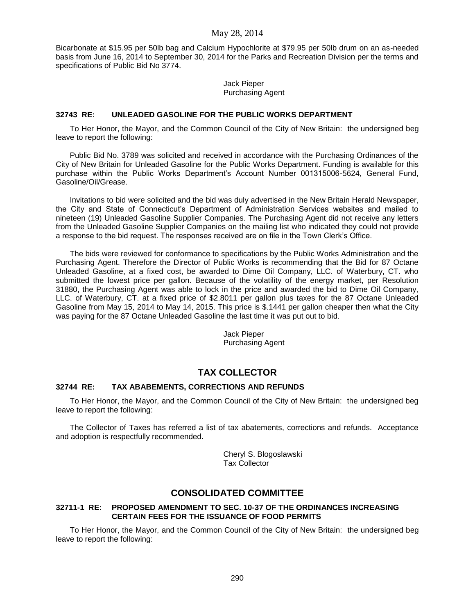Bicarbonate at \$15.95 per 50lb bag and Calcium Hypochlorite at \$79.95 per 50lb drum on an as-needed basis from June 16, 2014 to September 30, 2014 for the Parks and Recreation Division per the terms and specifications of Public Bid No 3774.

> Jack Pieper Purchasing Agent

## **32743 RE: UNLEADED GASOLINE FOR THE PUBLIC WORKS DEPARTMENT**

To Her Honor, the Mayor, and the Common Council of the City of New Britain: the undersigned beg leave to report the following:

Public Bid No. 3789 was solicited and received in accordance with the Purchasing Ordinances of the City of New Britain for Unleaded Gasoline for the Public Works Department. Funding is available for this purchase within the Public Works Department's Account Number 001315006-5624, General Fund, Gasoline/Oil/Grease.

Invitations to bid were solicited and the bid was duly advertised in the New Britain Herald Newspaper, the City and State of Connecticut's Department of Administration Services websites and mailed to nineteen (19) Unleaded Gasoline Supplier Companies. The Purchasing Agent did not receive any letters from the Unleaded Gasoline Supplier Companies on the mailing list who indicated they could not provide a response to the bid request. The responses received are on file in the Town Clerk's Office.

The bids were reviewed for conformance to specifications by the Public Works Administration and the Purchasing Agent. Therefore the Director of Public Works is recommending that the Bid for 87 Octane Unleaded Gasoline, at a fixed cost, be awarded to Dime Oil Company, LLC. of Waterbury, CT. who submitted the lowest price per gallon. Because of the volatility of the energy market, per Resolution 31880, the Purchasing Agent was able to lock in the price and awarded the bid to Dime Oil Company, LLC. of Waterbury, CT. at a fixed price of \$2.8011 per gallon plus taxes for the 87 Octane Unleaded Gasoline from May 15, 2014 to May 14, 2015. This price is \$.1441 per gallon cheaper then what the City was paying for the 87 Octane Unleaded Gasoline the last time it was put out to bid.

> Jack Pieper Purchasing Agent

# **TAX COLLECTOR**

## **32744 RE: TAX ABABEMENTS, CORRECTIONS AND REFUNDS**

To Her Honor, the Mayor, and the Common Council of the City of New Britain: the undersigned beg leave to report the following:

The Collector of Taxes has referred a list of tax abatements, corrections and refunds. Acceptance and adoption is respectfully recommended.

> Cheryl S. Blogoslawski Tax Collector

# **CONSOLIDATED COMMITTEE**

### **32711-1 RE: PROPOSED AMENDMENT TO SEC. 10-37 OF THE ORDINANCES INCREASING CERTAIN FEES FOR THE ISSUANCE OF FOOD PERMITS**

To Her Honor, the Mayor, and the Common Council of the City of New Britain: the undersigned beg leave to report the following: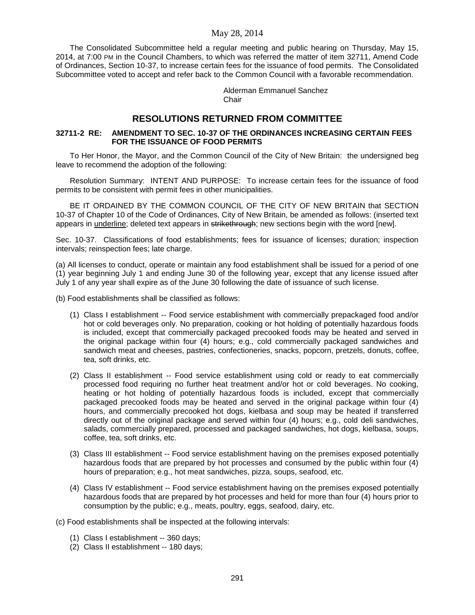The Consolidated Subcommittee held a regular meeting and public hearing on Thursday, May 15, 2014, at 7:00 PM in the Council Chambers, to which was referred the matter of item 32711, Amend Code of Ordinances, Section 10-37, to increase certain fees for the issuance of food permits. The Consolidated Subcommittee voted to accept and refer back to the Common Council with a favorable recommendation.

> Alderman Emmanuel Sanchez **Chair**

# **RESOLUTIONS RETURNED FROM COMMITTEE**

### **32711-2 RE: AMENDMENT TO SEC. 10-37 OF THE ORDINANCES INCREASING CERTAIN FEES FOR THE ISSUANCE OF FOOD PERMITS**

To Her Honor, the Mayor, and the Common Council of the City of New Britain: the undersigned beg leave to recommend the adoption of the following:

Resolution Summary: INTENT AND PURPOSE: To increase certain fees for the issuance of food permits to be consistent with permit fees in other municipalities.

BE IT ORDAINED BY THE COMMON COUNCIL OF THE CITY OF NEW BRITAIN that SECTION 10-37 of Chapter 10 of the Code of Ordinances, City of New Britain, be amended as follows: (inserted text appears in underline; deleted text appears in strikethrough; new sections begin with the word [new].

Sec. 10-37. Classifications of food establishments; fees for issuance of licenses; duration; inspection intervals; reinspection fees; late charge.

(a) All licenses to conduct, operate or maintain any food establishment shall be issued for a period of one (1) year beginning July 1 and ending June 30 of the following year, except that any license issued after July 1 of any year shall expire as of the June 30 following the date of issuance of such license.

(b) Food establishments shall be classified as follows:

- (1) Class I establishment -- Food service establishment with commercially prepackaged food and/or hot or cold beverages only. No preparation, cooking or hot holding of potentially hazardous foods is included, except that commercially packaged precooked foods may be heated and served in the original package within four (4) hours; e.g., cold commercially packaged sandwiches and sandwich meat and cheeses, pastries, confectioneries, snacks, popcorn, pretzels, donuts, coffee, tea, soft drinks, etc.
- (2) Class II establishment -- Food service establishment using cold or ready to eat commercially processed food requiring no further heat treatment and/or hot or cold beverages. No cooking, heating or hot holding of potentially hazardous foods is included, except that commercially packaged precooked foods may be heated and served in the original package within four (4) hours, and commercially precooked hot dogs, kielbasa and soup may be heated if transferred directly out of the original package and served within four (4) hours; e.g., cold deli sandwiches, salads, commercially prepared, processed and packaged sandwiches, hot dogs, kielbasa, soups, coffee, tea, soft drinks, etc.
- (3) Class III establishment -- Food service establishment having on the premises exposed potentially hazardous foods that are prepared by hot processes and consumed by the public within four (4) hours of preparation; e.g., hot meat sandwiches, pizza, soups, seafood, etc.
- (4) Class IV establishment -- Food service establishment having on the premises exposed potentially hazardous foods that are prepared by hot processes and held for more than four (4) hours prior to consumption by the public; e.g., meats, poultry, eggs, seafood, dairy, etc.

(c) Food establishments shall be inspected at the following intervals:

- (1) Class I establishment -- 360 days;
- (2) Class II establishment -- 180 days;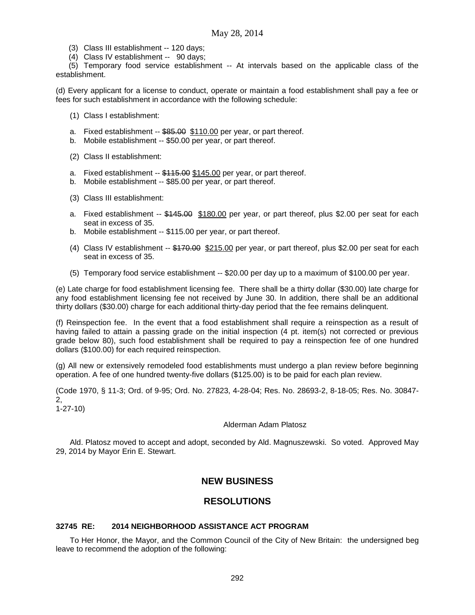- (3) Class III establishment -- 120 days;
- (4) Class IV establishment -- 90 days;

 (5) Temporary food service establishment -- At intervals based on the applicable class of the establishment.

(d) Every applicant for a license to conduct, operate or maintain a food establishment shall pay a fee or fees for such establishment in accordance with the following schedule:

- (1) Class I establishment:
- a. Fixed establishment -- \$85.00 \$110.00 per year, or part thereof.
- b. Mobile establishment -- \$50.00 per year, or part thereof.
- (2) Class II establishment:
- a. Fixed establishment -- \$115.00 \$145.00 per year, or part thereof.
- b. Mobile establishment -- \$85.00 per year, or part thereof.
- (3) Class III establishment:
- a. Fixed establishment -- \$145.00 \$180.00 per year, or part thereof, plus \$2.00 per seat for each seat in excess of 35.
- b. Mobile establishment -- \$115.00 per year, or part thereof.
- (4) Class IV establishment -- \$170.00 \$215.00 per year, or part thereof, plus \$2.00 per seat for each seat in excess of 35.
- (5) Temporary food service establishment -- \$20.00 per day up to a maximum of \$100.00 per year.

(e) Late charge for food establishment licensing fee. There shall be a thirty dollar (\$30.00) late charge for any food establishment licensing fee not received by June 30. In addition, there shall be an additional thirty dollars (\$30.00) charge for each additional thirty-day period that the fee remains delinquent.

(f) Reinspection fee. In the event that a food establishment shall require a reinspection as a result of having failed to attain a passing grade on the initial inspection (4 pt. item(s) not corrected or previous grade below 80), such food establishment shall be required to pay a reinspection fee of one hundred dollars (\$100.00) for each required reinspection.

(g) All new or extensively remodeled food establishments must undergo a plan review before beginning operation. A fee of one hundred twenty-five dollars (\$125.00) is to be paid for each plan review.

(Code 1970, § 11-3; Ord. of 9-95; Ord. No. 27823, 4-28-04; Res. No. 28693-2, 8-18-05; Res. No. 30847- 2, 1-27-10)

#### Alderman Adam Platosz

Ald. Platosz moved to accept and adopt, seconded by Ald. Magnuszewski. So voted. Approved May 29, 2014 by Mayor Erin E. Stewart.

# **NEW BUSINESS**

# **RESOLUTIONS**

# **32745 RE: 2014 NEIGHBORHOOD ASSISTANCE ACT PROGRAM**

To Her Honor, the Mayor, and the Common Council of the City of New Britain: the undersigned beg leave to recommend the adoption of the following: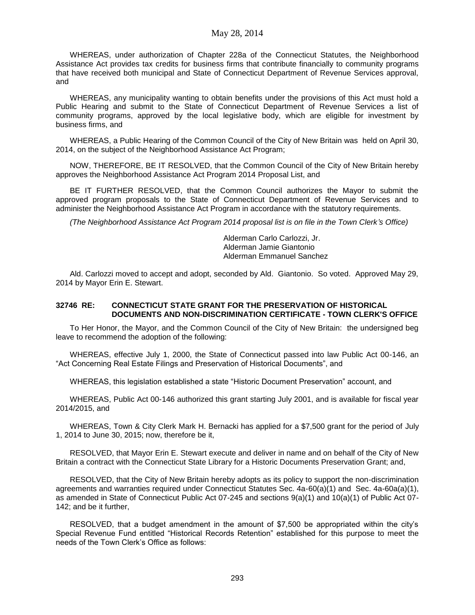WHEREAS, under authorization of Chapter 228a of the Connecticut Statutes, the Neighborhood Assistance Act provides tax credits for business firms that contribute financially to community programs that have received both municipal and State of Connecticut Department of Revenue Services approval, and

WHEREAS, any municipality wanting to obtain benefits under the provisions of this Act must hold a Public Hearing and submit to the State of Connecticut Department of Revenue Services a list of community programs, approved by the local legislative body, which are eligible for investment by business firms, and

WHEREAS, a Public Hearing of the Common Council of the City of New Britain was held on April 30, 2014, on the subject of the Neighborhood Assistance Act Program;

NOW, THEREFORE, BE IT RESOLVED, that the Common Council of the City of New Britain hereby approves the Neighborhood Assistance Act Program 2014 Proposal List, and

BE IT FURTHER RESOLVED, that the Common Council authorizes the Mayor to submit the approved program proposals to the State of Connecticut Department of Revenue Services and to administer the Neighborhood Assistance Act Program in accordance with the statutory requirements.

*(The Neighborhood Assistance Act Program 2014 proposal list is on file in the Town Clerk's Office)*

Alderman Carlo Carlozzi, Jr. Alderman Jamie Giantonio Alderman Emmanuel Sanchez

Ald. Carlozzi moved to accept and adopt, seconded by Ald. Giantonio. So voted. Approved May 29, 2014 by Mayor Erin E. Stewart.

#### **32746 RE: CONNECTICUT STATE GRANT FOR THE PRESERVATION OF HISTORICAL DOCUMENTS AND NON-DISCRIMINATION CERTIFICATE - TOWN CLERK'S OFFICE**

To Her Honor, the Mayor, and the Common Council of the City of New Britain: the undersigned beg leave to recommend the adoption of the following:

WHEREAS, effective July 1, 2000, the State of Connecticut passed into law Public Act 00-146, an "Act Concerning Real Estate Filings and Preservation of Historical Documents", and

WHEREAS, this legislation established a state "Historic Document Preservation" account, and

WHEREAS, Public Act 00-146 authorized this grant starting July 2001, and is available for fiscal year 2014/2015, and

WHEREAS, Town & City Clerk Mark H. Bernacki has applied for a \$7,500 grant for the period of July 1, 2014 to June 30, 2015; now, therefore be it,

RESOLVED, that Mayor Erin E. Stewart execute and deliver in name and on behalf of the City of New Britain a contract with the Connecticut State Library for a Historic Documents Preservation Grant; and,

RESOLVED, that the City of New Britain hereby adopts as its policy to support the non-discrimination agreements and warranties required under Connecticut Statutes Sec. 4a-60(a)(1) and Sec. 4a-60a(a)(1), as amended in State of Connecticut Public Act 07-245 and sections 9(a)(1) and 10(a)(1) of Public Act 07- 142; and be it further,

RESOLVED, that a budget amendment in the amount of \$7,500 be appropriated within the city's Special Revenue Fund entitled "Historical Records Retention" established for this purpose to meet the needs of the Town Clerk's Office as follows: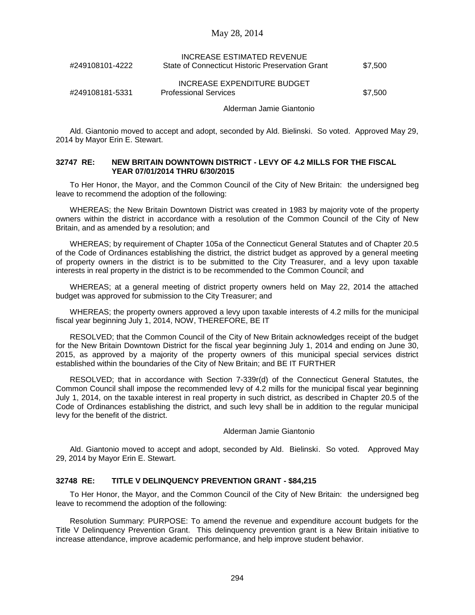| #249108101-4222 | INCREASE ESTIMATED REVENUE<br>State of Connecticut Historic Preservation Grant | \$7.500 |
|-----------------|--------------------------------------------------------------------------------|---------|
| #249108181-5331 | INCREASE EXPENDITURE BUDGET<br><b>Professional Services</b>                    | \$7.500 |
|                 | Alderman Jamie Giantonio                                                       |         |

Ald. Giantonio moved to accept and adopt, seconded by Ald. Bielinski. So voted. Approved May 29, 2014 by Mayor Erin E. Stewart.

#### **32747 RE: NEW BRITAIN DOWNTOWN DISTRICT - LEVY OF 4.2 MILLS FOR THE FISCAL YEAR 07/01/2014 THRU 6/30/2015**

To Her Honor, the Mayor, and the Common Council of the City of New Britain: the undersigned beg leave to recommend the adoption of the following:

WHEREAS; the New Britain Downtown District was created in 1983 by majority vote of the property owners within the district in accordance with a resolution of the Common Council of the City of New Britain, and as amended by a resolution; and

WHEREAS; by requirement of Chapter 105a of the Connecticut General Statutes and of Chapter 20.5 of the Code of Ordinances establishing the district, the district budget as approved by a general meeting of property owners in the district is to be submitted to the City Treasurer, and a levy upon taxable interests in real property in the district is to be recommended to the Common Council; and

WHEREAS; at a general meeting of district property owners held on May 22, 2014 the attached budget was approved for submission to the City Treasurer; and

WHEREAS; the property owners approved a levy upon taxable interests of 4.2 mills for the municipal fiscal year beginning July 1, 2014, NOW, THEREFORE, BE IT

RESOLVED; that the Common Council of the City of New Britain acknowledges receipt of the budget for the New Britain Downtown District for the fiscal year beginning July 1, 2014 and ending on June 30, 2015, as approved by a majority of the property owners of this municipal special services district established within the boundaries of the City of New Britain; and BE IT FURTHER

RESOLVED; that in accordance with Section 7-339r(d) of the Connecticut General Statutes, the Common Council shall impose the recommended levy of 4.2 mills for the municipal fiscal year beginning July 1, 2014, on the taxable interest in real property in such district, as described in Chapter 20.5 of the Code of Ordinances establishing the district, and such levy shall be in addition to the regular municipal levy for the benefit of the district.

#### Alderman Jamie Giantonio

Ald. Giantonio moved to accept and adopt, seconded by Ald. Bielinski. So voted. Approved May 29, 2014 by Mayor Erin E. Stewart.

### **32748 RE: TITLE V DELINQUENCY PREVENTION GRANT - \$84,215**

To Her Honor, the Mayor, and the Common Council of the City of New Britain: the undersigned beg leave to recommend the adoption of the following:

Resolution Summary: PURPOSE: To amend the revenue and expenditure account budgets for the Title V Delinquency Prevention Grant. This delinquency prevention grant is a New Britain initiative to increase attendance, improve academic performance, and help improve student behavior.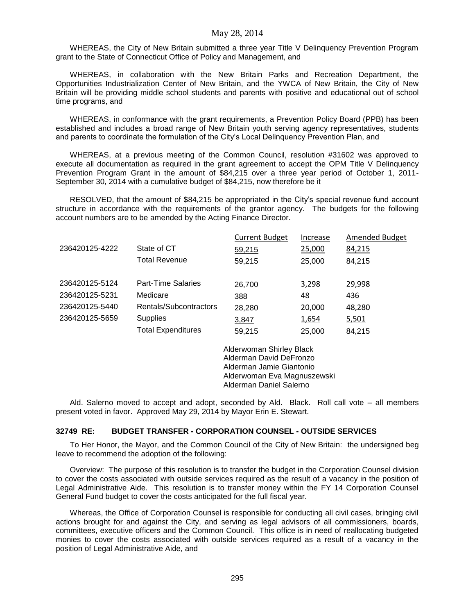WHEREAS, the City of New Britain submitted a three year Title V Delinquency Prevention Program grant to the State of Connecticut Office of Policy and Management, and

WHEREAS, in collaboration with the New Britain Parks and Recreation Department, the Opportunities Industrialization Center of New Britain, and the YWCA of New Britain, the City of New Britain will be providing middle school students and parents with positive and educational out of school time programs, and

WHEREAS, in conformance with the grant requirements, a Prevention Policy Board (PPB) has been established and includes a broad range of New Britain youth serving agency representatives, students and parents to coordinate the formulation of the City's Local Delinquency Prevention Plan, and

WHEREAS, at a previous meeting of the Common Council, resolution #31602 was approved to execute all documentation as required in the grant agreement to accept the OPM Title V Delinquency Prevention Program Grant in the amount of \$84,215 over a three year period of October 1, 2011- September 30, 2014 with a cumulative budget of \$84,215, now therefore be it

RESOLVED, that the amount of \$84,215 be appropriated in the City's special revenue fund account structure in accordance with the requirements of the grantor agency. The budgets for the following account numbers are to be amended by the Acting Finance Director.

|                |                           | <b>Current Budget</b> | Increase | <b>Amended Budget</b> |
|----------------|---------------------------|-----------------------|----------|-----------------------|
| 236420125-4222 | State of CT               | 59,215                | 25,000   | 84,215                |
|                | <b>Total Revenue</b>      | 59,215                | 25,000   | 84.215                |
| 236420125-5124 | <b>Part-Time Salaries</b> | 26,700                | 3,298    | 29,998                |
| 236420125-5231 | Medicare                  | 388                   | 48       | 436                   |
| 236420125-5440 | Rentals/Subcontractors    | 28,280                | 20,000   | 48,280                |
| 236420125-5659 | <b>Supplies</b>           | 3,847                 | 1,654    | 5,501                 |
|                | <b>Total Expenditures</b> | 59,215                | 25,000   | 84,215                |

Alderwoman Shirley Black Alderman David DeFronzo Alderman Jamie Giantonio Alderwoman Eva Magnuszewski Alderman Daniel Salerno

Ald. Salerno moved to accept and adopt, seconded by Ald. Black. Roll call vote – all members present voted in favor. Approved May 29, 2014 by Mayor Erin E. Stewart.

#### **32749 RE: BUDGET TRANSFER - CORPORATION COUNSEL - OUTSIDE SERVICES**

To Her Honor, the Mayor, and the Common Council of the City of New Britain: the undersigned beg leave to recommend the adoption of the following:

Overview: The purpose of this resolution is to transfer the budget in the Corporation Counsel division to cover the costs associated with outside services required as the result of a vacancy in the position of Legal Administrative Aide. This resolution is to transfer money within the FY 14 Corporation Counsel General Fund budget to cover the costs anticipated for the full fiscal year.

Whereas, the Office of Corporation Counsel is responsible for conducting all civil cases, bringing civil actions brought for and against the City, and serving as legal advisors of all commissioners, boards, committees, executive officers and the Common Council. This office is in need of reallocating budgeted monies to cover the costs associated with outside services required as a result of a vacancy in the position of Legal Administrative Aide, and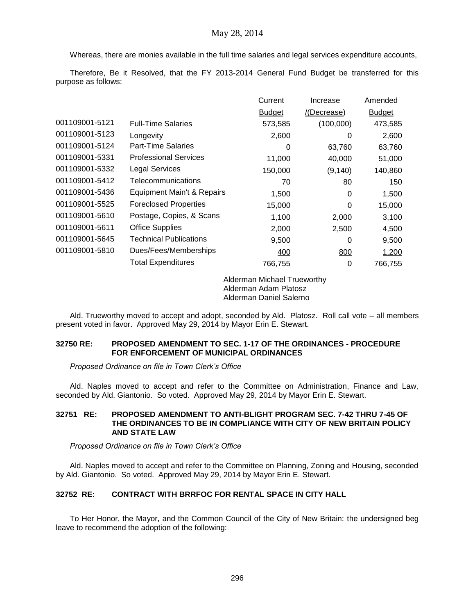Whereas, there are monies available in the full time salaries and legal services expenditure accounts,

Therefore, Be it Resolved, that the FY 2013-2014 General Fund Budget be transferred for this purpose as follows:

|                |                               | Current       | Increase   | Amended       |
|----------------|-------------------------------|---------------|------------|---------------|
|                |                               | <b>Budget</b> | (Decrease) | <b>Budget</b> |
| 001109001-5121 | <b>Full-Time Salaries</b>     | 573,585       | (100,000)  | 473,585       |
| 001109001-5123 | Longevity                     | 2,600         | 0          | 2,600         |
| 001109001-5124 | <b>Part-Time Salaries</b>     | 0             | 63,760     | 63,760        |
| 001109001-5331 | <b>Professional Services</b>  | 11,000        | 40,000     | 51,000        |
| 001109001-5332 | <b>Legal Services</b>         | 150,000       | (9, 140)   | 140,860       |
| 001109001-5412 | Telecommunications            | 70            | 80         | 150           |
| 001109001-5436 | Equipment Main't & Repairs    | 1,500         | 0          | 1,500         |
| 001109001-5525 | <b>Foreclosed Properties</b>  | 15,000        | 0          | 15,000        |
| 001109001-5610 | Postage, Copies, & Scans      | 1,100         | 2,000      | 3,100         |
| 001109001-5611 | <b>Office Supplies</b>        | 2,000         | 2,500      | 4,500         |
| 001109001-5645 | <b>Technical Publications</b> | 9,500         | 0          | 9,500         |
| 001109001-5810 | Dues/Fees/Memberships         | 400           | 800        | 1,200         |
|                | <b>Total Expenditures</b>     | 766,755       | 0          | 766,755       |

Alderman Michael Trueworthy Alderman Adam Platosz Alderman Daniel Salerno

Ald. Trueworthy moved to accept and adopt, seconded by Ald. Platosz. Roll call vote – all members present voted in favor. Approved May 29, 2014 by Mayor Erin E. Stewart.

### **32750 RE: PROPOSED AMENDMENT TO SEC. 1-17 OF THE ORDINANCES - PROCEDURE FOR ENFORCEMENT OF MUNICIPAL ORDINANCES**

*Proposed Ordinance on file in Town Clerk's Office*

Ald. Naples moved to accept and refer to the Committee on Administration, Finance and Law, seconded by Ald. Giantonio. So voted. Approved May 29, 2014 by Mayor Erin E. Stewart.

### **32751 RE: PROPOSED AMENDMENT TO ANTI-BLIGHT PROGRAM SEC. 7-42 THRU 7-45 OF THE ORDINANCES TO BE IN COMPLIANCE WITH CITY OF NEW BRITAIN POLICY AND STATE LAW**

*Proposed Ordinance on file in Town Clerk's Office*

Ald. Naples moved to accept and refer to the Committee on Planning, Zoning and Housing, seconded by Ald. Giantonio. So voted. Approved May 29, 2014 by Mayor Erin E. Stewart.

## **32752 RE: CONTRACT WITH BRRFOC FOR RENTAL SPACE IN CITY HALL**

To Her Honor, the Mayor, and the Common Council of the City of New Britain: the undersigned beg leave to recommend the adoption of the following: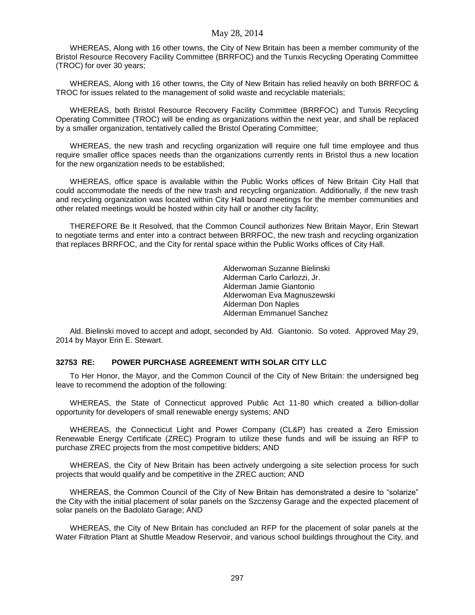WHEREAS, Along with 16 other towns, the City of New Britain has been a member community of the Bristol Resource Recovery Facility Committee (BRRFOC) and the Tunxis Recycling Operating Committee (TROC) for over 30 years;

WHEREAS, Along with 16 other towns, the City of New Britain has relied heavily on both BRRFOC & TROC for issues related to the management of solid waste and recyclable materials;

WHEREAS, both Bristol Resource Recovery Facility Committee (BRRFOC) and Tunxis Recycling Operating Committee (TROC) will be ending as organizations within the next year, and shall be replaced by a smaller organization, tentatively called the Bristol Operating Committee;

WHEREAS, the new trash and recycling organization will require one full time employee and thus require smaller office spaces needs than the organizations currently rents in Bristol thus a new location for the new organization needs to be established;

WHEREAS, office space is available within the Public Works offices of New Britain City Hall that could accommodate the needs of the new trash and recycling organization. Additionally, if the new trash and recycling organization was located within City Hall board meetings for the member communities and other related meetings would be hosted within city hall or another city facility;

THEREFORE Be It Resolved, that the Common Council authorizes New Britain Mayor, Erin Stewart to negotiate terms and enter into a contract between BRRFOC, the new trash and recycling organization that replaces BRRFOC, and the City for rental space within the Public Works offices of City Hall.

> Alderwoman Suzanne Bielinski Alderman Carlo Carlozzi, Jr. Alderman Jamie Giantonio Alderwoman Eva Magnuszewski Alderman Don Naples Alderman Emmanuel Sanchez

Ald. Bielinski moved to accept and adopt, seconded by Ald. Giantonio. So voted. Approved May 29, 2014 by Mayor Erin E. Stewart.

### **32753 RE: POWER PURCHASE AGREEMENT WITH SOLAR CITY LLC**

To Her Honor, the Mayor, and the Common Council of the City of New Britain: the undersigned beg leave to recommend the adoption of the following:

WHEREAS, the State of Connecticut approved Public Act 11-80 which created a billion-dollar opportunity for developers of small renewable energy systems; AND

WHEREAS, the Connecticut Light and Power Company (CL&P) has created a Zero Emission Renewable Energy Certificate (ZREC) Program to utilize these funds and will be issuing an RFP to purchase ZREC projects from the most competitive bidders; AND

WHEREAS, the City of New Britain has been actively undergoing a site selection process for such projects that would qualify and be competitive in the ZREC auction; AND

WHEREAS, the Common Council of the City of New Britain has demonstrated a desire to "solarize" the City with the initial placement of solar panels on the Szczensy Garage and the expected placement of solar panels on the Badolato Garage; AND

WHEREAS, the City of New Britain has concluded an RFP for the placement of solar panels at the Water Filtration Plant at Shuttle Meadow Reservoir, and various school buildings throughout the City, and